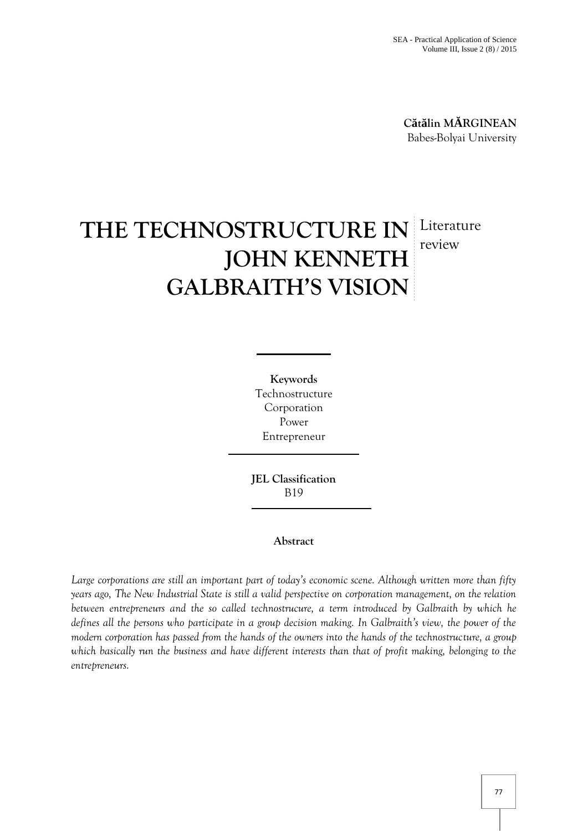**C t lin M RGINEAN** Babes-Bolyai University

# **THE TECHNOSTRUCTURE IN JOHN KENNETH GALBRAITH'S VISION** Literature review

**Keywords** Technostructure Corporation Power Entrepreneur

**JEL Classification** B19

### **Abstract**

*Large corporations are still an important part of today's economic scene. Although written more than fifty years ago, The New Industrial State is still a valid perspective on corporation management, on the relation between entrepreneurs and the so called technostrucure, a term introduced by Galbraith by which he defines all the persons who participate in a group decision making. In Galbraith's view, the power of the modern corporation has passed from the hands of the owners into the hands of the technostructure, a group which basically run the business and have different interests than that of profit making, belonging to the entrepreneurs.*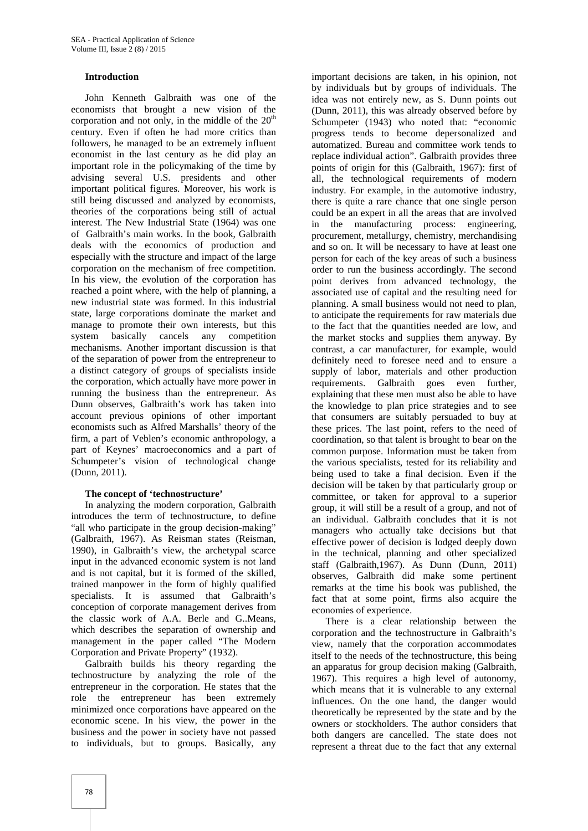#### **Introduction**

John Kenneth Galbraith was one of the economists that brought a new vision of the corporation and not only, in the middle of the  $20<sup>th</sup>$ century. Even if often he had more critics than followers, he managed to be an extremely influent economist in the last century as he did play an important role in the policymaking of the time by advising several U.S. presidents and other important political figures. Moreover, his work is still being discussed and analyzed by economists, theories of the corporations being still of actual interest. The New Industrial State (1964) was one of Galbraith's main works. In the book, Galbraith deals with the economics of production and especially with the structure and impact of the large corporation on the mechanism of free competition. In his view, the evolution of the corporation has reached a point where, with the help of planning, a new industrial state was formed. In this industrial state, large corporations dominate the market and manage to promote their own interests, but this system basically cancels any competition mechanisms. Another important discussion is that of the separation of power from the entrepreneur to a distinct category of groups of specialists inside the corporation, which actually have more power in running the business than the entrepreneur. As Dunn observes, Galbraith's work has taken into account previous opinions of other important economists such as Alfred Marshalls' theory of the firm, a part of Veblen's economic anthropology, a part of Keynes' macroeconomics and a part of Schumpeter's vision of technological change (Dunn, 2011).

#### **The concept of 'technostructure'**

In analyzing the modern corporation, Galbraith introduces the term of technostructure, to define "all who participate in the group decision-making" (Galbraith, 1967). As Reisman states (Reisman, 1990), in Galbraith's view, the archetypal scarce input in the advanced economic system is not land and is not capital, but it is formed of the skilled, trained manpower in the form of highly qualified specialists. It is assumed that Galbraith's conception of corporate management derives from the classic work of A.A. Berle and G..Means, which describes the separation of ownership and management in the paper called "The Modern Corporation and Private Property" (1932).

Galbraith builds his theory regarding the technostructure by analyzing the role of the entrepreneur in the corporation. He states that the role the entrepreneur has been extremely minimized once corporations have appeared on the economic scene. In his view, the power in the business and the power in society have not passed to individuals, but to groups. Basically, any

important decisions are taken, in his opinion, not by individuals but by groups of individuals. The idea was not entirely new, as S. Dunn points out (Dunn, 2011), this was already observed before by Schumpeter (1943) who noted that: "economic progress tends to become depersonalized and automatized. Bureau and committee work tends to replace individual action". Galbraith provides three points of origin for this (Galbraith, 1967): first of all, the technological requirements of modern industry. For example, in the automotive industry, there is quite a rare chance that one single person could be an expert in all the areas that are involved in the manufacturing process: engineering, procurement, metallurgy, chemistry, merchandising and so on. It will be necessary to have at least one person for each of the key areas of such a business order to run the business accordingly. The second point derives from advanced technology, the associated use of capital and the resulting need for planning. A small business would not need to plan, to anticipate the requirements for raw materials due to the fact that the quantities needed are low, and the market stocks and supplies them anyway. By contrast, a car manufacturer, for example, would definitely need to foresee need and to ensure a supply of labor, materials and other production requirements. Galbraith goes even further, explaining that these men must also be able to have the knowledge to plan price strategies and to see that consumers are suitably persuaded to buy at these prices. The last point, refers to the need of coordination, so that talent is brought to bear on the common purpose. Information must be taken from the various specialists, tested for its reliability and being used to take a final decision. Even if the decision will be taken by that particularly group or committee, or taken for approval to a superior group, it will still be a result of a group, and not of an individual. Galbraith concludes that it is not managers who actually take decisions but that effective power of decision is lodged deeply down in the technical, planning and other specialized staff (Galbraith,1967). As Dunn (Dunn, 2011) observes, Galbraith did make some pertinent remarks at the time his book was published, the fact that at some point, firms also acquire the economies of experience.

There is a clear relationship between the corporation and the technostructure in Galbraith's view, namely that the corporation accommodates itself to the needs of the technostructure, this being an apparatus for group decision making (Galbraith, 1967). This requires a high level of autonomy, which means that it is vulnerable to any external influences. On the one hand, the danger would theoretically be represented by the state and by the owners or stockholders. The author considers that both dangers are cancelled. The state does not represent a threat due to the fact that any external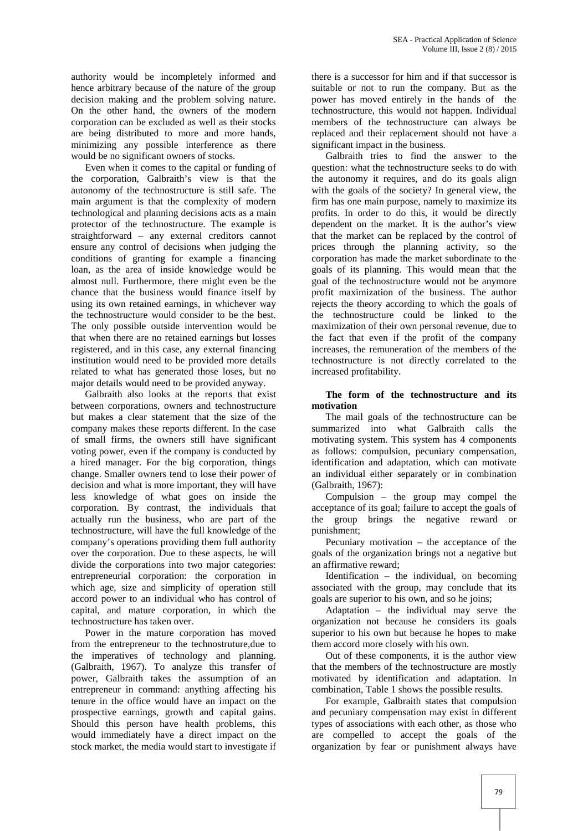authority would be incompletely informed and hence arbitrary because of the nature of the group decision making and the problem solving nature. On the other hand, the owners of the modern corporation can be excluded as well as their stocks are being distributed to more and more hands, minimizing any possible interference as there would be no significant owners of stocks.

Even when it comes to the capital or funding of the corporation, Galbraith's view is that the autonomy of the technostructure is still safe. The main argument is that the complexity of modern technological and planning decisions acts as a main protector of the technostructure. The example is straightforward – any external creditors cannot ensure any control of decisions when judging the conditions of granting for example a financing loan, as the area of inside knowledge would be almost null. Furthermore, there might even be the chance that the business would finance itself by using its own retained earnings, in whichever way the technostructure would consider to be the best. The only possible outside intervention would be that when there are no retained earnings but losses registered, and in this case, any external financing institution would need to be provided more details related to what has generated those loses, but no major details would need to be provided anyway.

Galbraith also looks at the reports that exist between corporations, owners and technostructure but makes a clear statement that the size of the company makes these reports different. In the case of small firms, the owners still have significant voting power, even if the company is conducted by a hired manager. For the big corporation, things change. Smaller owners tend to lose their power of decision and what is more important, they will have less knowledge of what goes on inside the corporation. By contrast, the individuals that actually run the business, who are part of the technostructure, will have the full knowledge of the company's operations providing them full authority over the corporation. Due to these aspects, he will divide the corporations into two major categories: entrepreneurial corporation: the corporation in which age, size and simplicity of operation still accord power to an individual who has control of capital, and mature corporation, in which the technostructure has taken over.

Power in the mature corporation has moved from the entrepreneur to the technostruture,due to the imperatives of technology and planning. (Galbraith, 1967). To analyze this transfer of power, Galbraith takes the assumption of an entrepreneur in command: anything affecting his tenure in the office would have an impact on the prospective earnings, growth and capital gains. Should this person have health problems, this would immediately have a direct impact on the stock market, the media would start to investigate if

there is a successor for him and if that successor is suitable or not to run the company. But as the power has moved entirely in the hands of the technostructure, this would not happen. Individual members of the technostructure can always be replaced and their replacement should not have a significant impact in the business.

Galbraith tries to find the answer to the question: what the technostructure seeks to do with the autonomy it requires, and do its goals align with the goals of the society? In general view, the firm has one main purpose, namely to maximize its profits. In order to do this, it would be directly dependent on the market. It is the author's view that the market can be replaced by the control of prices through the planning activity, so the corporation has made the market subordinate to the goals of its planning. This would mean that the goal of the technostructure would not be anymore profit maximization of the business. The author rejects the theory according to which the goals of the technostructure could be linked to the maximization of their own personal revenue, due to the fact that even if the profit of the company increases, the remuneration of the members of the technostructure is not directly correlated to the increased profitability.

#### **The form of the technostructure and its motivation**

The mail goals of the technostructure can be summarized into what Galbraith calls the motivating system. This system has 4 components as follows: compulsion, pecuniary compensation, identification and adaptation, which can motivate an individual either separately or in combination (Galbraith, 1967):

Compulsion – the group may compel the acceptance of its goal; failure to accept the goals of the group brings the negative reward or punishment;

Pecuniary motivation – the acceptance of the goals of the organization brings not a negative but an affirmative reward;

Identification – the individual, on becoming associated with the group, may conclude that its goals are superior to his own, and so he joins;

Adaptation – the individual may serve the organization not because he considers its goals superior to his own but because he hopes to make them accord more closely with his own.

Out of these components, it is the author view that the members of the technostructure are mostly motivated by identification and adaptation. In combination, Table 1 shows the possible results.

For example, Galbraith states that compulsion and pecuniary compensation may exist in different types of associations with each other, as those who are compelled to accept the goals of the organization by fear or punishment always have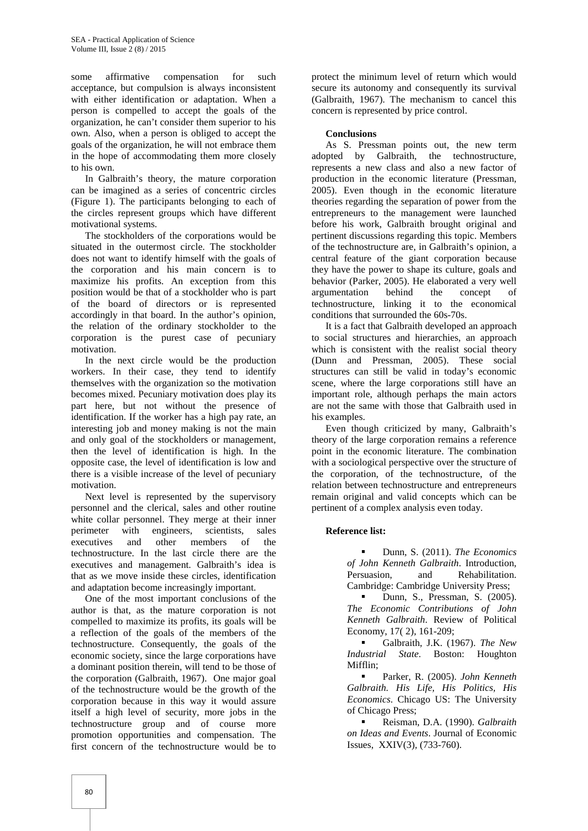some affirmative compensation for such acceptance, but compulsion is always inconsistent with either identification or adaptation. When a person is compelled to accept the goals of the organization, he can't consider them superior to his own. Also, when a person is obliged to accept the goals of the organization, he will not embrace them in the hope of accommodating them more closely to his own.

In Galbraith's theory, the mature corporation can be imagined as a series of concentric circles (Figure 1). The participants belonging to each of the circles represent groups which have different motivational systems.

The stockholders of the corporations would be situated in the outermost circle. The stockholder does not want to identify himself with the goals of the corporation and his main concern is to maximize his profits. An exception from this position would be that of a stockholder who is part of the board of directors or is represented accordingly in that board. In the author's opinion, the relation of the ordinary stockholder to the corporation is the purest case of pecuniary motivation.

In the next circle would be the production workers. In their case, they tend to identify themselves with the organization so the motivation becomes mixed. Pecuniary motivation does play its part here, but not without the presence of identification. If the worker has a high pay rate, an interesting job and money making is not the main and only goal of the stockholders or management, then the level of identification is high. In the opposite case, the level of identification is low and there is a visible increase of the level of pecuniary motivation.

Next level is represented by the supervisory personnel and the clerical, sales and other routine white collar personnel. They merge at their inner perimeter with engineers, scientists, sales executives and other members of the technostructure. In the last circle there are the executives and management. Galbraith's idea is that as we move inside these circles, identification and adaptation become increasingly important.

One of the most important conclusions of the author is that, as the mature corporation is not compelled to maximize its profits, its goals will be a reflection of the goals of the members of the technostructure. Consequently, the goals of the economic society, since the large corporations have a dominant position therein, will tend to be those of the corporation (Galbraith, 1967). One major goal of the technostructure would be the growth of the corporation because in this way it would assure itself a high level of security, more jobs in the technostructure group and of course more promotion opportunities and compensation. The first concern of the technostructure would be to

protect the minimum level of return which would secure its autonomy and consequently its survival (Galbraith, 1967). The mechanism to cancel this concern is represented by price control.

#### **Conclusions**

As S. Pressman points out, the new term adopted by Galbraith, the technostructure, represents a new class and also a new factor of production in the economic literature (Pressman, 2005). Even though in the economic literature theories regarding the separation of power from the entrepreneurs to the management were launched before his work, Galbraith brought original and pertinent discussions regarding this topic. Members of the technostructure are, in Galbraith's opinion, a central feature of the giant corporation because they have the power to shape its culture, goals and behavior (Parker, 2005). He elaborated a very well argumentation behind the concept of technostructure, linking it to the economical conditions that surrounded the 60s-70s.

It is a fact that Galbraith developed an approach to social structures and hierarchies, an approach which is consistent with the realist social theory (Dunn and Pressman, 2005). These social structures can still be valid in today's economic scene, where the large corporations still have an important role, although perhaps the main actors are not the same with those that Galbraith used in his examples.

Even though criticized by many, Galbraith's theory of the large corporation remains a reference point in the economic literature. The combination with a sociological perspective over the structure of the corporation, of the technostructure, of the relation between technostructure and entrepreneurs remain original and valid concepts which can be pertinent of a complex analysis even today.

#### **Reference list:**

 Dunn, S. (2011). *The Economics of John Kenneth Galbraith*. Introduction, Persuasion, and Rehabilitation. Cambridge: Cambridge University Press;

 Dunn, S., Pressman, S. (2005). *The Economic Contributions of John Kenneth Galbraith*. Review of Political Economy, 17( 2), 161-209;

 Galbraith, J.K. (1967). *The New Industrial State*. Boston: Houghton Mifflin;

 Parker, R. (2005). *John Kenneth Galbraith. His Life, His Politics, His Economics*. Chicago US: The University of Chicago Press;

 Reisman, D.A. (1990). *Galbraith on Ideas and Events*. Journal of Economic Issues, XXIV(3), (733-760).